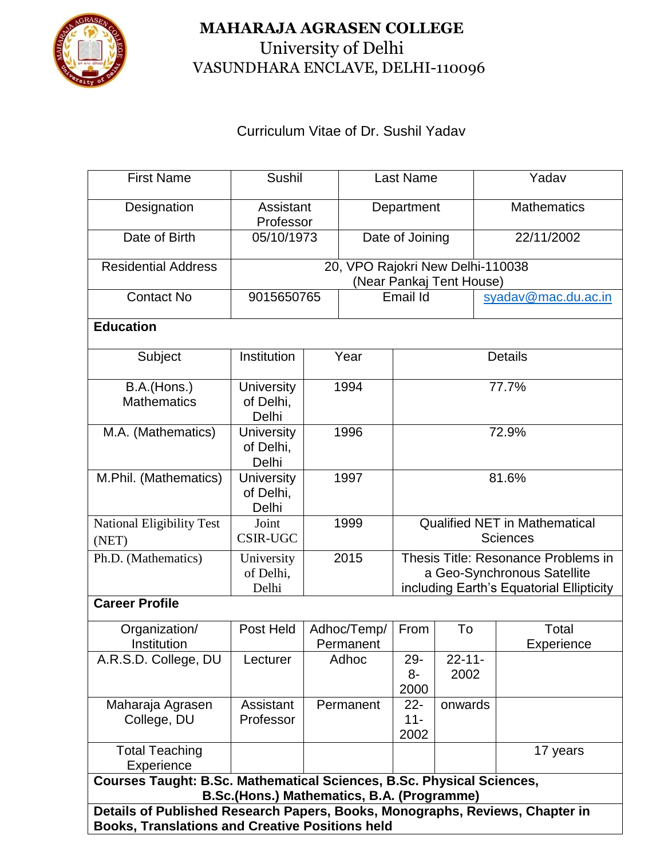

## **MAHARAJA AGRASEN COLLEGE** University of Delhi VASUNDHARA ENCLAVE, DELHI-110096

## Curriculum Vitae of Dr. Sushil Yadav

| <b>First Name</b>                                                                                                          | <b>Sushil</b>                           |      | <b>Last Name</b>         |                                                              |                                                                                                                | Yadav               |  |  |  |  |  |
|----------------------------------------------------------------------------------------------------------------------------|-----------------------------------------|------|--------------------------|--------------------------------------------------------------|----------------------------------------------------------------------------------------------------------------|---------------------|--|--|--|--|--|
| Designation                                                                                                                | Assistant<br>Professor                  |      | Department               |                                                              |                                                                                                                | <b>Mathematics</b>  |  |  |  |  |  |
| Date of Birth                                                                                                              | 05/10/1973                              |      | Date of Joining          |                                                              |                                                                                                                | 22/11/2002          |  |  |  |  |  |
| <b>Residential Address</b>                                                                                                 |                                         |      |                          | 20, VPO Rajokri New Delhi-110038<br>(Near Pankaj Tent House) |                                                                                                                |                     |  |  |  |  |  |
| <b>Contact No</b>                                                                                                          | 9015650765                              |      | Email Id                 |                                                              |                                                                                                                | syadav@mac.du.ac.in |  |  |  |  |  |
| <b>Education</b>                                                                                                           |                                         |      |                          |                                                              |                                                                                                                |                     |  |  |  |  |  |
| Subject                                                                                                                    | Institution                             | Year |                          | <b>Details</b>                                               |                                                                                                                |                     |  |  |  |  |  |
| B.A.(Hons.)<br><b>Mathematics</b>                                                                                          | <b>University</b><br>of Delhi,<br>Delhi | 1994 |                          | 77.7%                                                        |                                                                                                                |                     |  |  |  |  |  |
| M.A. (Mathematics)                                                                                                         | <b>University</b><br>of Delhi,<br>Delhi | 1996 |                          | 72.9%                                                        |                                                                                                                |                     |  |  |  |  |  |
| M.Phil. (Mathematics)                                                                                                      | <b>University</b><br>of Delhi,<br>Delhi | 1997 |                          | 81.6%                                                        |                                                                                                                |                     |  |  |  |  |  |
| <b>National Eligibility Test</b><br>(NET)                                                                                  | Joint<br><b>CSIR-UGC</b>                | 1999 |                          | <b>Qualified NET in Mathematical</b><br><b>Sciences</b>      |                                                                                                                |                     |  |  |  |  |  |
| Ph.D. (Mathematics)                                                                                                        | University<br>of Delhi,<br>Delhi        |      | 2015                     |                                                              | Thesis Title: Resonance Problems in<br>a Geo-Synchronous Satellite<br>including Earth's Equatorial Ellipticity |                     |  |  |  |  |  |
| <b>Career Profile</b>                                                                                                      |                                         |      |                          |                                                              |                                                                                                                |                     |  |  |  |  |  |
| Organization/<br>Institution                                                                                               | Post Held                               |      | Adhoc/Temp/<br>Permanent | From                                                         | To                                                                                                             | Total<br>Experience |  |  |  |  |  |
| A.R.S.D. College, DU                                                                                                       | Lecturer                                |      | Adhoc                    | 29-<br>8-<br>2000                                            | $22 - 11 -$<br>2002                                                                                            |                     |  |  |  |  |  |
| Maharaja Agrasen<br>College, DU                                                                                            | Assistant<br>Professor                  |      | Permanent                | $22 -$<br>$11 -$<br>2002                                     | onwards                                                                                                        |                     |  |  |  |  |  |
| <b>Total Teaching</b><br>Experience                                                                                        |                                         |      |                          |                                                              |                                                                                                                | 17 years            |  |  |  |  |  |
| <b>Courses Taught: B.Sc. Mathematical Sciences, B.Sc. Physical Sciences,</b>                                               |                                         |      |                          |                                                              |                                                                                                                |                     |  |  |  |  |  |
| B.Sc.(Hons.) Mathematics, B.A. (Programme)<br>Details of Published Research Papers, Books, Monographs, Reviews, Chapter in |                                         |      |                          |                                                              |                                                                                                                |                     |  |  |  |  |  |
| <b>Books, Translations and Creative Positions held</b>                                                                     |                                         |      |                          |                                                              |                                                                                                                |                     |  |  |  |  |  |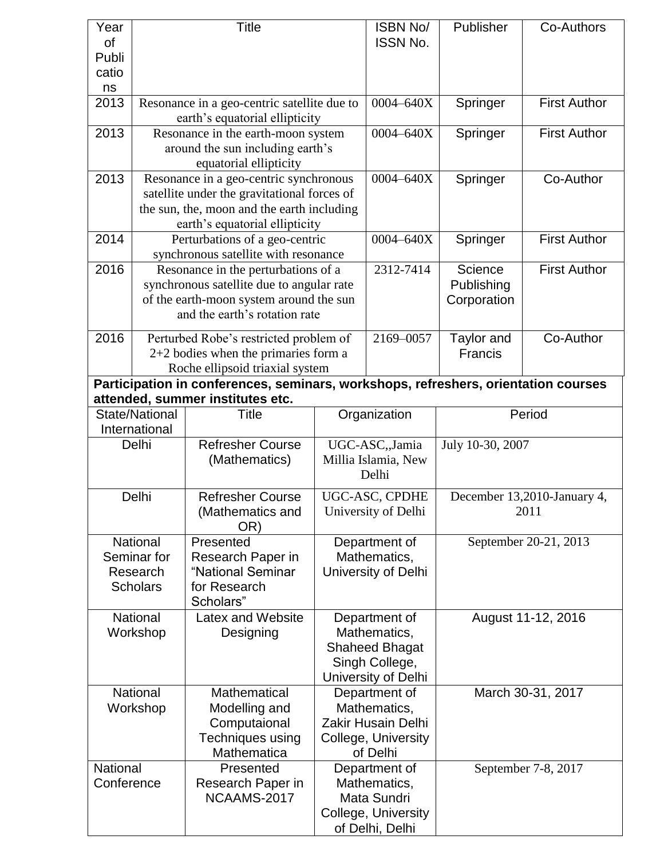| Year<br>of                                                                                                             | <b>Title</b>                                                     |                                                                               | <b>ISBN No/</b><br><b>ISSN No.</b> | Publisher                               | Co-Authors                  |                     |  |  |  |
|------------------------------------------------------------------------------------------------------------------------|------------------------------------------------------------------|-------------------------------------------------------------------------------|------------------------------------|-----------------------------------------|-----------------------------|---------------------|--|--|--|
| Publi                                                                                                                  |                                                                  |                                                                               |                                    |                                         |                             |                     |  |  |  |
| catio                                                                                                                  |                                                                  |                                                                               |                                    |                                         |                             |                     |  |  |  |
| ns<br>2013                                                                                                             |                                                                  |                                                                               | $0004 - 640X$                      |                                         | <b>First Author</b>         |                     |  |  |  |
|                                                                                                                        |                                                                  | Resonance in a geo-centric satellite due to<br>earth's equatorial ellipticity |                                    |                                         | Springer                    |                     |  |  |  |
| 2013                                                                                                                   |                                                                  | Resonance in the earth-moon system                                            |                                    | 0004-640X                               | Springer                    | <b>First Author</b> |  |  |  |
|                                                                                                                        | around the sun including earth's                                 |                                                                               |                                    |                                         |                             |                     |  |  |  |
|                                                                                                                        |                                                                  | equatorial ellipticity                                                        |                                    |                                         |                             |                     |  |  |  |
| 2013                                                                                                                   | Resonance in a geo-centric synchronous                           |                                                                               |                                    | 0004-640X                               | Springer                    | Co-Author           |  |  |  |
|                                                                                                                        |                                                                  | satellite under the gravitational forces of                                   |                                    |                                         |                             |                     |  |  |  |
|                                                                                                                        | the sun, the, moon and the earth including                       |                                                                               |                                    |                                         |                             |                     |  |  |  |
| 2014                                                                                                                   | earth's equatorial ellipticity<br>Perturbations of a geo-centric |                                                                               |                                    | 0004-640X                               | Springer                    | <b>First Author</b> |  |  |  |
|                                                                                                                        | synchronous satellite with resonance                             |                                                                               |                                    |                                         |                             |                     |  |  |  |
| 2016                                                                                                                   | Resonance in the perturbations of a                              |                                                                               |                                    | 2312-7414                               | Science                     | <b>First Author</b> |  |  |  |
|                                                                                                                        | synchronous satellite due to angular rate                        |                                                                               |                                    |                                         | Publishing                  |                     |  |  |  |
|                                                                                                                        |                                                                  | of the earth-moon system around the sun                                       |                                    |                                         | Corporation                 |                     |  |  |  |
|                                                                                                                        |                                                                  | and the earth's rotation rate                                                 |                                    |                                         |                             |                     |  |  |  |
| 2016                                                                                                                   |                                                                  | Perturbed Robe's restricted problem of                                        | 2169-0057                          | Taylor and                              | Co-Author                   |                     |  |  |  |
|                                                                                                                        | $2+2$ bodies when the primaries form a                           |                                                                               |                                    |                                         | Francis                     |                     |  |  |  |
|                                                                                                                        | Roche ellipsoid triaxial system                                  |                                                                               |                                    |                                         |                             |                     |  |  |  |
| Participation in conferences, seminars, workshops, refreshers, orientation courses<br>attended, summer institutes etc. |                                                                  |                                                                               |                                    |                                         |                             |                     |  |  |  |
|                                                                                                                        | State/National                                                   | Title                                                                         | Organization                       |                                         | Period                      |                     |  |  |  |
| International                                                                                                          |                                                                  |                                                                               |                                    |                                         |                             |                     |  |  |  |
| Delhi                                                                                                                  |                                                                  | <b>Refresher Course</b>                                                       |                                    | UGC-ASC,,Jamia                          | July 10-30, 2007            |                     |  |  |  |
|                                                                                                                        |                                                                  | (Mathematics)                                                                 |                                    | Millia Islamia, New                     |                             |                     |  |  |  |
|                                                                                                                        |                                                                  |                                                                               | Delhi                              |                                         |                             |                     |  |  |  |
| Delhi                                                                                                                  |                                                                  | <b>Refresher Course</b>                                                       |                                    | UGC-ASC, CPDHE                          | December 13,2010-January 4, |                     |  |  |  |
|                                                                                                                        |                                                                  | (Mathematics and                                                              |                                    | University of Delhi                     | 2011                        |                     |  |  |  |
|                                                                                                                        | OR)                                                              |                                                                               |                                    |                                         |                             |                     |  |  |  |
| National                                                                                                               |                                                                  | Presented<br>Research Paper in                                                |                                    | Department of<br>Mathematics,           | September 20-21, 2013       |                     |  |  |  |
| Seminar for<br>Research                                                                                                |                                                                  | "National Seminar                                                             |                                    | University of Delhi                     |                             |                     |  |  |  |
| <b>Scholars</b>                                                                                                        |                                                                  | for Research                                                                  |                                    |                                         |                             |                     |  |  |  |
| Scholars"                                                                                                              |                                                                  |                                                                               |                                    |                                         |                             |                     |  |  |  |
| <b>National</b>                                                                                                        |                                                                  | Latex and Website                                                             | Department of                      |                                         | August 11-12, 2016          |                     |  |  |  |
| Workshop                                                                                                               |                                                                  | Designing                                                                     |                                    | Mathematics,                            |                             |                     |  |  |  |
|                                                                                                                        |                                                                  |                                                                               |                                    | <b>Shaheed Bhagat</b><br>Singh College, |                             |                     |  |  |  |
|                                                                                                                        |                                                                  |                                                                               |                                    | University of Delhi                     |                             |                     |  |  |  |
| Mathematical<br><b>National</b>                                                                                        |                                                                  | Department of                                                                 |                                    | March 30-31, 2017                       |                             |                     |  |  |  |
| Workshop                                                                                                               |                                                                  | Modelling and                                                                 |                                    | Mathematics,                            |                             |                     |  |  |  |
|                                                                                                                        |                                                                  | Computaional                                                                  |                                    | Zakir Husain Delhi                      |                             |                     |  |  |  |
|                                                                                                                        |                                                                  | Techniques using                                                              |                                    | College, University                     |                             |                     |  |  |  |
|                                                                                                                        |                                                                  | Mathematica                                                                   |                                    | of Delhi                                |                             |                     |  |  |  |
| National<br>Conference                                                                                                 |                                                                  | Presented<br>Research Paper in                                                |                                    | Department of<br>Mathematics,           |                             | September 7-8, 2017 |  |  |  |
|                                                                                                                        |                                                                  | NCAAMS-2017                                                                   |                                    | Mata Sundri                             |                             |                     |  |  |  |
|                                                                                                                        |                                                                  |                                                                               |                                    | College, University                     |                             |                     |  |  |  |
|                                                                                                                        |                                                                  |                                                                               |                                    | of Delhi, Delhi                         |                             |                     |  |  |  |